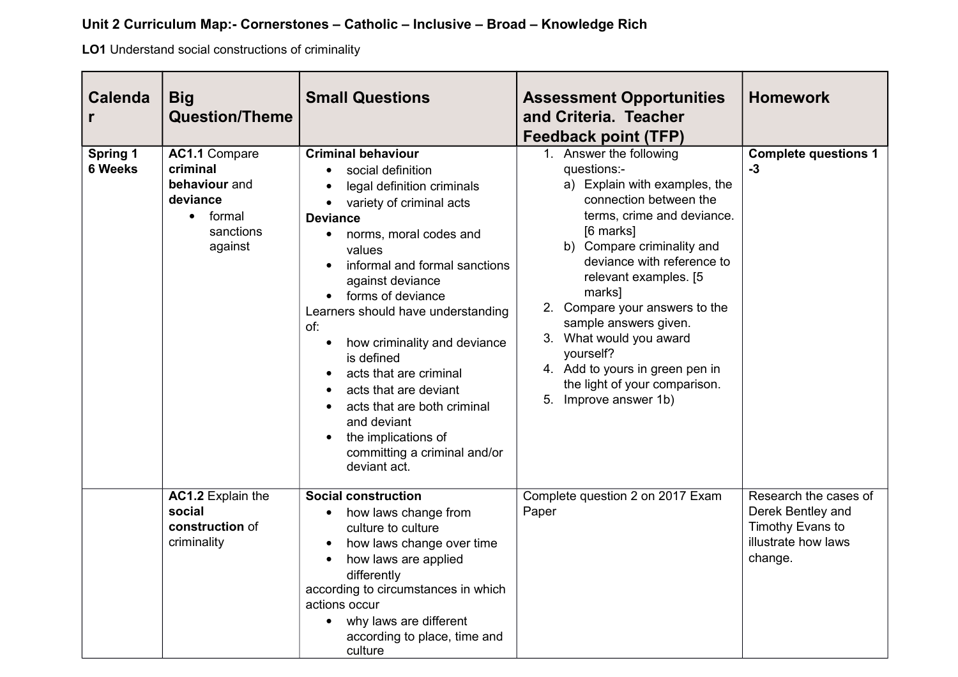## **Unit 2 Curriculum Map:- Cornerstones – Catholic – Inclusive – Broad – Knowledge Rich**

**LO1** Understand social constructions of criminality

| <b>Calenda</b>                    | <b>Big</b><br><b>Question/Theme</b>                                                                          | <b>Small Questions</b>                                                                                                                                                                                                                                                                                                                                                                                                                                                                                                                                                                     | <b>Assessment Opportunities</b><br>and Criteria. Teacher<br><b>Feedback point (TFP)</b>                                                                                                                                                                                                                                                                                                                                                      | <b>Homework</b>                                                                                  |
|-----------------------------------|--------------------------------------------------------------------------------------------------------------|--------------------------------------------------------------------------------------------------------------------------------------------------------------------------------------------------------------------------------------------------------------------------------------------------------------------------------------------------------------------------------------------------------------------------------------------------------------------------------------------------------------------------------------------------------------------------------------------|----------------------------------------------------------------------------------------------------------------------------------------------------------------------------------------------------------------------------------------------------------------------------------------------------------------------------------------------------------------------------------------------------------------------------------------------|--------------------------------------------------------------------------------------------------|
| <b>Spring 1</b><br><b>6 Weeks</b> | <b>AC1.1 Compare</b><br>criminal<br>behaviour and<br>deviance<br>formal<br>$\bullet$<br>sanctions<br>against | <b>Criminal behaviour</b><br>social definition<br>$\bullet$<br>legal definition criminals<br>variety of criminal acts<br>$\bullet$<br><b>Deviance</b><br>norms, moral codes and<br>$\bullet$<br>values<br>informal and formal sanctions<br>against deviance<br>forms of deviance<br>$\bullet$<br>Learners should have understanding<br>of:<br>how criminality and deviance<br>is defined<br>acts that are criminal<br>acts that are deviant<br>acts that are both criminal<br>$\bullet$<br>and deviant<br>the implications of<br>$\bullet$<br>committing a criminal and/or<br>deviant act. | 1. Answer the following<br>questions:-<br>a) Explain with examples, the<br>connection between the<br>terms, crime and deviance.<br>[6 marks]<br>b) Compare criminality and<br>deviance with reference to<br>relevant examples. [5]<br>marks]<br>2. Compare your answers to the<br>sample answers given.<br>3. What would you award<br>yourself?<br>4. Add to yours in green pen in<br>the light of your comparison.<br>5. Improve answer 1b) | <b>Complete questions 1</b><br>$-3$                                                              |
|                                   | AC1.2 Explain the<br>social<br>construction of<br>criminality                                                | <b>Social construction</b><br>how laws change from<br>$\bullet$<br>culture to culture<br>how laws change over time<br>how laws are applied<br>differently<br>according to circumstances in which<br>actions occur<br>why laws are different<br>$\bullet$<br>according to place, time and<br>culture                                                                                                                                                                                                                                                                                        | Complete question 2 on 2017 Exam<br>Paper                                                                                                                                                                                                                                                                                                                                                                                                    | Research the cases of<br>Derek Bentley and<br>Timothy Evans to<br>illustrate how laws<br>change. |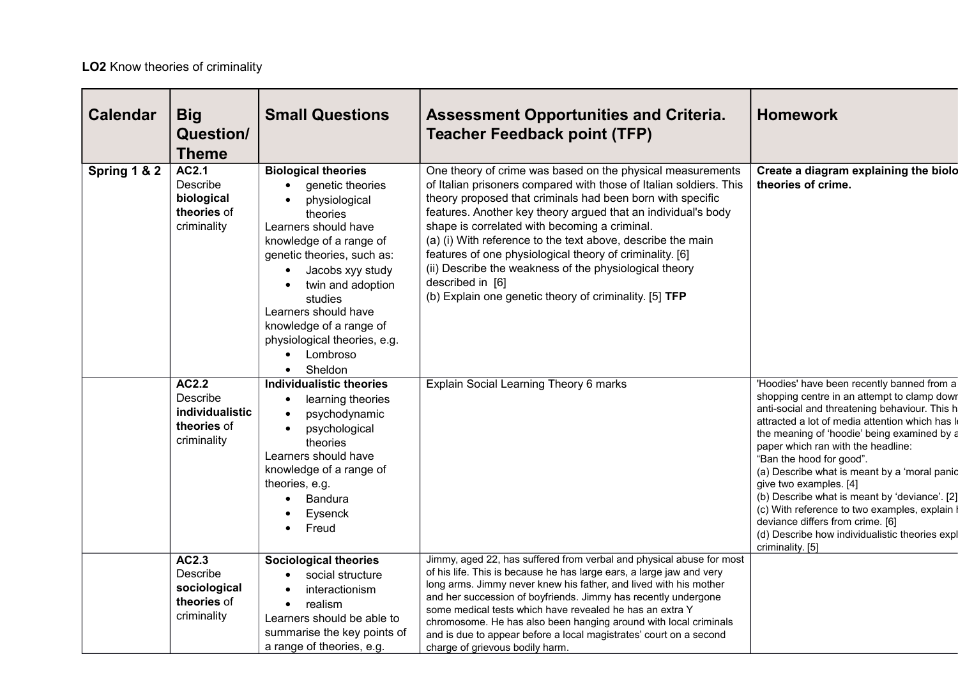## **LO2** Know theories of criminality

| <b>Calendar</b> | <b>Big</b><br><b>Question/</b><br><b>Theme</b>                            | <b>Small Questions</b>                                                                                                                                                                                                                                                                                                     | <b>Assessment Opportunities and Criteria.</b><br><b>Teacher Feedback point (TFP)</b>                                                                                                                                                                                                                                                                                                                                                                                                                                                                                                | <b>Homework</b>                                                                                                                                                                                                                                                                                                                                                                                                                                                                                                                                                                                                 |
|-----------------|---------------------------------------------------------------------------|----------------------------------------------------------------------------------------------------------------------------------------------------------------------------------------------------------------------------------------------------------------------------------------------------------------------------|-------------------------------------------------------------------------------------------------------------------------------------------------------------------------------------------------------------------------------------------------------------------------------------------------------------------------------------------------------------------------------------------------------------------------------------------------------------------------------------------------------------------------------------------------------------------------------------|-----------------------------------------------------------------------------------------------------------------------------------------------------------------------------------------------------------------------------------------------------------------------------------------------------------------------------------------------------------------------------------------------------------------------------------------------------------------------------------------------------------------------------------------------------------------------------------------------------------------|
| Spring 1 & 2    | AC2.1<br>Describe<br>biological<br>theories of<br>criminality             | <b>Biological theories</b><br>genetic theories<br>physiological<br>theories<br>Learners should have<br>knowledge of a range of<br>genetic theories, such as:<br>Jacobs xyy study<br>twin and adoption<br>studies<br>Learners should have<br>knowledge of a range of<br>physiological theories, e.g.<br>Lombroso<br>Sheldon | One theory of crime was based on the physical measurements<br>of Italian prisoners compared with those of Italian soldiers. This<br>theory proposed that criminals had been born with specific<br>features. Another key theory argued that an individual's body<br>shape is correlated with becoming a criminal.<br>(a) (i) With reference to the text above, describe the main<br>features of one physiological theory of criminality. [6]<br>(ii) Describe the weakness of the physiological theory<br>described in [6]<br>(b) Explain one genetic theory of criminality. [5] TFP | Create a diagram explaining the biolo<br>theories of crime.                                                                                                                                                                                                                                                                                                                                                                                                                                                                                                                                                     |
|                 | <b>AC2.2</b><br>Describe<br>individualistic<br>theories of<br>criminality | <b>Individualistic theories</b><br>learning theories<br>psychodynamic<br>psychological<br>theories<br>Learners should have<br>knowledge of a range of<br>theories, e.g.<br>Bandura<br>Eysenck<br>Freud                                                                                                                     | Explain Social Learning Theory 6 marks                                                                                                                                                                                                                                                                                                                                                                                                                                                                                                                                              | 'Hoodies' have been recently banned from a<br>shopping centre in an attempt to clamp down<br>anti-social and threatening behaviour. This h<br>attracted a lot of media attention which has le<br>the meaning of 'hoodie' being examined by a<br>paper which ran with the headline:<br>"Ban the hood for good".<br>(a) Describe what is meant by a 'moral panic<br>give two examples. [4]<br>(b) Describe what is meant by 'deviance'. [2]<br>(c) With reference to two examples, explain $\mathsf{I}$<br>deviance differs from crime. [6]<br>(d) Describe how individualistic theories expl<br>criminality. [5] |
|                 | AC2.3<br>Describe<br>sociological<br>theories of<br>criminality           | <b>Sociological theories</b><br>social structure<br>interactionism<br>realism<br>$\bullet$<br>Learners should be able to<br>summarise the key points of<br>a range of theories, e.g.                                                                                                                                       | Jimmy, aged 22, has suffered from verbal and physical abuse for most<br>of his life. This is because he has large ears, a large jaw and very<br>long arms. Jimmy never knew his father, and lived with his mother<br>and her succession of boyfriends. Jimmy has recently undergone<br>some medical tests which have revealed he has an extra Y<br>chromosome. He has also been hanging around with local criminals<br>and is due to appear before a local magistrates' court on a second<br>charge of grievous bodily harm.                                                        |                                                                                                                                                                                                                                                                                                                                                                                                                                                                                                                                                                                                                 |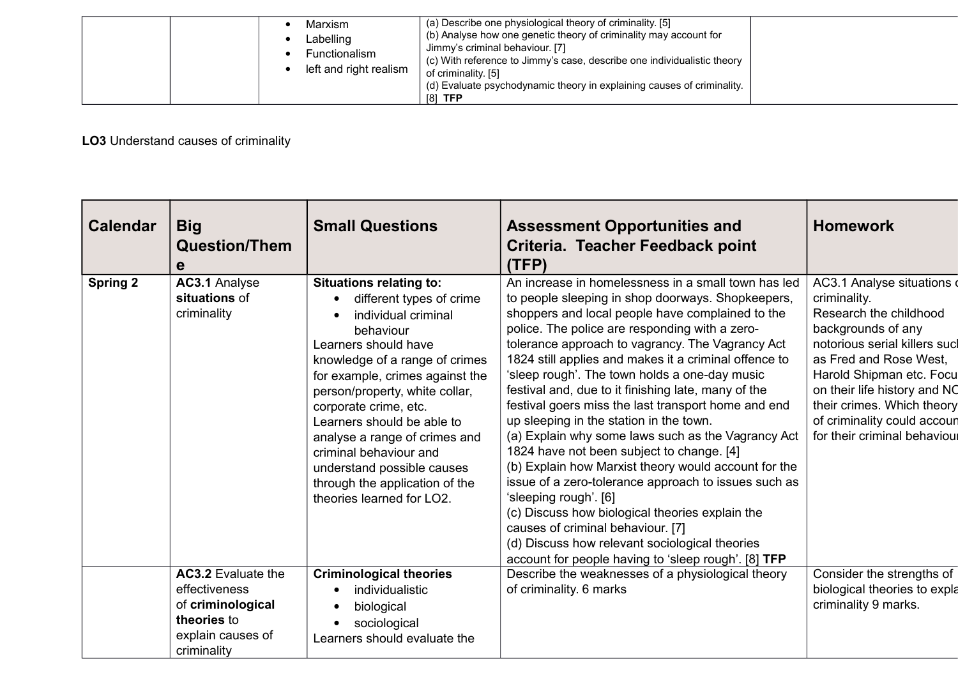| Marxism<br>Labelling<br>Functionalism<br>left and right realism | (a) Describe one physiological theory of criminality. [5]<br>(b) Analyse how one genetic theory of criminality may account for<br>Jimmy's criminal behaviour. [7]<br>(c) With reference to Jimmy's case, describe one individualistic theory<br>of criminality. [5]<br>(d) Evaluate psychodynamic theory in explaining causes of criminality.<br>$[8]$ TFP |  |
|-----------------------------------------------------------------|------------------------------------------------------------------------------------------------------------------------------------------------------------------------------------------------------------------------------------------------------------------------------------------------------------------------------------------------------------|--|
|-----------------------------------------------------------------|------------------------------------------------------------------------------------------------------------------------------------------------------------------------------------------------------------------------------------------------------------------------------------------------------------------------------------------------------------|--|

## **LO3** Understand causes of criminality

| <b>Calendar</b> | <b>Big</b><br><b>Question/Them</b><br>е                                                                            | <b>Small Questions</b>                                                                                                                                                                                                                                                                                                                                                                                                                                    | <b>Assessment Opportunities and</b><br>Criteria. Teacher Feedback point<br>(TFP)                                                                                                                                                                                                                                                                                                                                                                                                                                                                                                                                                                                                                                                                                                                                                                                                                                                                                                   | <b>Homework</b>                                                                                                                                                                                                                                                                                              |
|-----------------|--------------------------------------------------------------------------------------------------------------------|-----------------------------------------------------------------------------------------------------------------------------------------------------------------------------------------------------------------------------------------------------------------------------------------------------------------------------------------------------------------------------------------------------------------------------------------------------------|------------------------------------------------------------------------------------------------------------------------------------------------------------------------------------------------------------------------------------------------------------------------------------------------------------------------------------------------------------------------------------------------------------------------------------------------------------------------------------------------------------------------------------------------------------------------------------------------------------------------------------------------------------------------------------------------------------------------------------------------------------------------------------------------------------------------------------------------------------------------------------------------------------------------------------------------------------------------------------|--------------------------------------------------------------------------------------------------------------------------------------------------------------------------------------------------------------------------------------------------------------------------------------------------------------|
| <b>Spring 2</b> | AC3.1 Analyse<br>situations of<br>criminality                                                                      | <b>Situations relating to:</b><br>different types of crime<br>$\bullet$<br>individual criminal<br>behaviour<br>Learners should have<br>knowledge of a range of crimes<br>for example, crimes against the<br>person/property, white collar,<br>corporate crime, etc.<br>Learners should be able to<br>analyse a range of crimes and<br>criminal behaviour and<br>understand possible causes<br>through the application of the<br>theories learned for LO2. | An increase in homelessness in a small town has led<br>to people sleeping in shop doorways. Shopkeepers,<br>shoppers and local people have complained to the<br>police. The police are responding with a zero-<br>tolerance approach to vagrancy. The Vagrancy Act<br>1824 still applies and makes it a criminal offence to<br>'sleep rough'. The town holds a one-day music<br>festival and, due to it finishing late, many of the<br>festival goers miss the last transport home and end<br>up sleeping in the station in the town.<br>(a) Explain why some laws such as the Vagrancy Act<br>1824 have not been subject to change. [4]<br>(b) Explain how Marxist theory would account for the<br>issue of a zero-tolerance approach to issues such as<br>'sleeping rough'. [6]<br>(c) Discuss how biological theories explain the<br>causes of criminal behaviour. [7]<br>(d) Discuss how relevant sociological theories<br>account for people having to 'sleep rough'. [8] TFP | AC3.1 Analyse situations<br>criminality.<br>Research the childhood<br>backgrounds of any<br>notorious serial killers sucl<br>as Fred and Rose West,<br>Harold Shipman etc. Focu<br>on their life history and NC<br>their crimes. Which theory<br>of criminality could accoun<br>for their criminal behavioul |
|                 | <b>AC3.2</b> Evaluate the<br>effectiveness<br>of criminological<br>theories to<br>explain causes of<br>criminality | <b>Criminological theories</b><br>individualistic<br>biological<br>sociological<br>Learners should evaluate the                                                                                                                                                                                                                                                                                                                                           | Describe the weaknesses of a physiological theory<br>of criminality. 6 marks                                                                                                                                                                                                                                                                                                                                                                                                                                                                                                                                                                                                                                                                                                                                                                                                                                                                                                       | Consider the strengths of<br>biological theories to expla<br>criminality 9 marks.                                                                                                                                                                                                                            |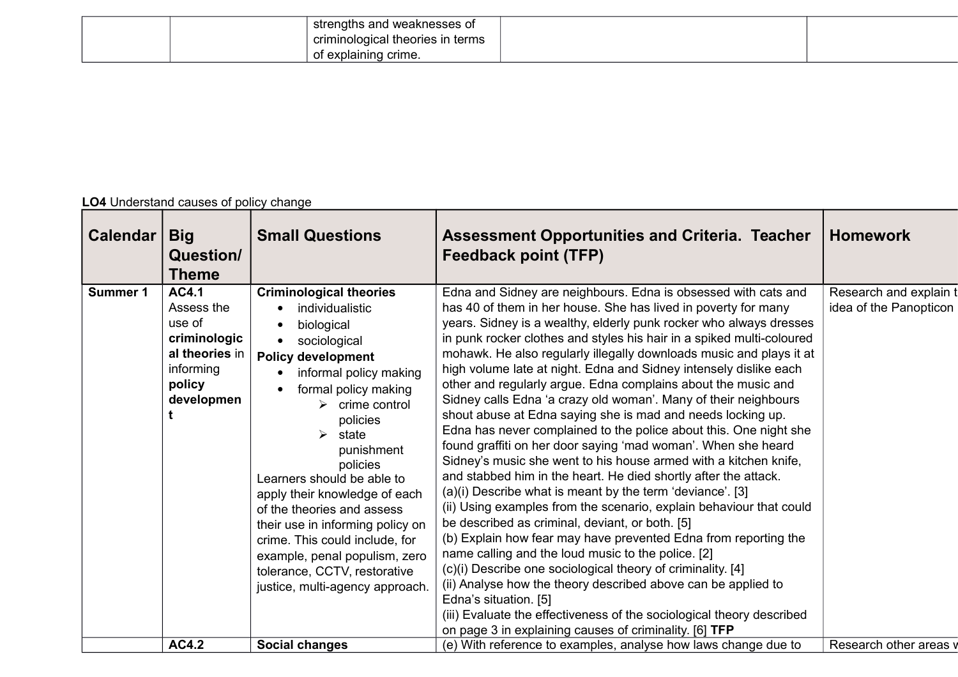|  | strengths and weaknesses of      |  |
|--|----------------------------------|--|
|  | criminological theories in terms |  |
|  | $\pm$ of explaining crime.       |  |

## **LO4** Understand causes of policy change

| <b>Calendar</b> | <b>Big</b><br>Question/<br>Theme                                                                            | <b>Small Questions</b>                                                                                                                                                                                                                                                                                                                                                                                                                                                                                                                          | <b>Assessment Opportunities and Criteria. Teacher</b><br><b>Feedback point (TFP)</b>                                                                                                                                                                                                                                                                                                                                                                                                                                                                                                                                                                                                                                                                                                                                                                                                                                                                                                                                                                                                                                                                                                                                                                                                                                                                                                                                                                                                                                    | <b>Homework</b>                                  |
|-----------------|-------------------------------------------------------------------------------------------------------------|-------------------------------------------------------------------------------------------------------------------------------------------------------------------------------------------------------------------------------------------------------------------------------------------------------------------------------------------------------------------------------------------------------------------------------------------------------------------------------------------------------------------------------------------------|-------------------------------------------------------------------------------------------------------------------------------------------------------------------------------------------------------------------------------------------------------------------------------------------------------------------------------------------------------------------------------------------------------------------------------------------------------------------------------------------------------------------------------------------------------------------------------------------------------------------------------------------------------------------------------------------------------------------------------------------------------------------------------------------------------------------------------------------------------------------------------------------------------------------------------------------------------------------------------------------------------------------------------------------------------------------------------------------------------------------------------------------------------------------------------------------------------------------------------------------------------------------------------------------------------------------------------------------------------------------------------------------------------------------------------------------------------------------------------------------------------------------------|--------------------------------------------------|
| <b>Summer 1</b> | <b>AC4.1</b><br>Assess the<br>use of<br>criminologic<br>al theories in<br>informing<br>policy<br>developmen | <b>Criminological theories</b><br>individualistic<br>biological<br>sociological<br><b>Policy development</b><br>informal policy making<br>formal policy making<br>$\triangleright$ crime control<br>policies<br>$\blacktriangleright$<br>state<br>punishment<br>policies<br>Learners should be able to<br>apply their knowledge of each<br>of the theories and assess<br>their use in informing policy on<br>crime. This could include, for<br>example, penal populism, zero<br>tolerance, CCTV, restorative<br>justice, multi-agency approach. | Edna and Sidney are neighbours. Edna is obsessed with cats and<br>has 40 of them in her house. She has lived in poverty for many<br>years. Sidney is a wealthy, elderly punk rocker who always dresses<br>in punk rocker clothes and styles his hair in a spiked multi-coloured<br>mohawk. He also regularly illegally downloads music and plays it at<br>high volume late at night. Edna and Sidney intensely dislike each<br>other and regularly argue. Edna complains about the music and<br>Sidney calls Edna 'a crazy old woman'. Many of their neighbours<br>shout abuse at Edna saying she is mad and needs locking up.<br>Edna has never complained to the police about this. One night she<br>found graffiti on her door saying 'mad woman'. When she heard<br>Sidney's music she went to his house armed with a kitchen knife,<br>and stabbed him in the heart. He died shortly after the attack.<br>(a)(i) Describe what is meant by the term 'deviance'. [3]<br>(ii) Using examples from the scenario, explain behaviour that could<br>be described as criminal, deviant, or both. [5]<br>(b) Explain how fear may have prevented Edna from reporting the<br>name calling and the loud music to the police. [2]<br>(c)(i) Describe one sociological theory of criminality. [4]<br>(ii) Analyse how the theory described above can be applied to<br>Edna's situation. [5]<br>(iii) Evaluate the effectiveness of the sociological theory described<br>on page 3 in explaining causes of criminality. [6] TFP | Research and explain t<br>idea of the Panopticon |
|                 | <b>AC4.2</b>                                                                                                | Social changes                                                                                                                                                                                                                                                                                                                                                                                                                                                                                                                                  | (e) With reference to examples, analyse how laws change due to                                                                                                                                                                                                                                                                                                                                                                                                                                                                                                                                                                                                                                                                                                                                                                                                                                                                                                                                                                                                                                                                                                                                                                                                                                                                                                                                                                                                                                                          | Research other areas v                           |